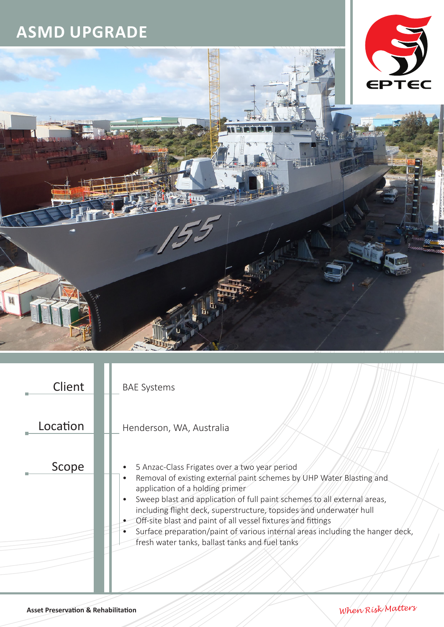## **ASMD UPGRADE**



| Client   | <b>BAE Systems</b>                                                                                                                                                                                                                                                                                                                                                                                                                                                                                               |
|----------|------------------------------------------------------------------------------------------------------------------------------------------------------------------------------------------------------------------------------------------------------------------------------------------------------------------------------------------------------------------------------------------------------------------------------------------------------------------------------------------------------------------|
| Location | Henderson, WA, Australia                                                                                                                                                                                                                                                                                                                                                                                                                                                                                         |
| Scope    | 5 Anzac-Class Frigates over a two year period<br>Removal of existing external paint schemes by UHP Water Blasting and<br>application of a holding primer<br>Sweep blast and application of full paint schemes to all external areas,<br>including flight deck, superstructure, topsides and underwater hull<br>Off-site blast and paint of all vessel fixtures and fittings<br>Surface preparation/paint of various internal areas including the hanger deck,<br>fresh water tanks, ballast tanks and fuel tanks |
|          |                                                                                                                                                                                                                                                                                                                                                                                                                                                                                                                  |

**Asset Preservation & Rehabilitation** *When Risk Matters*